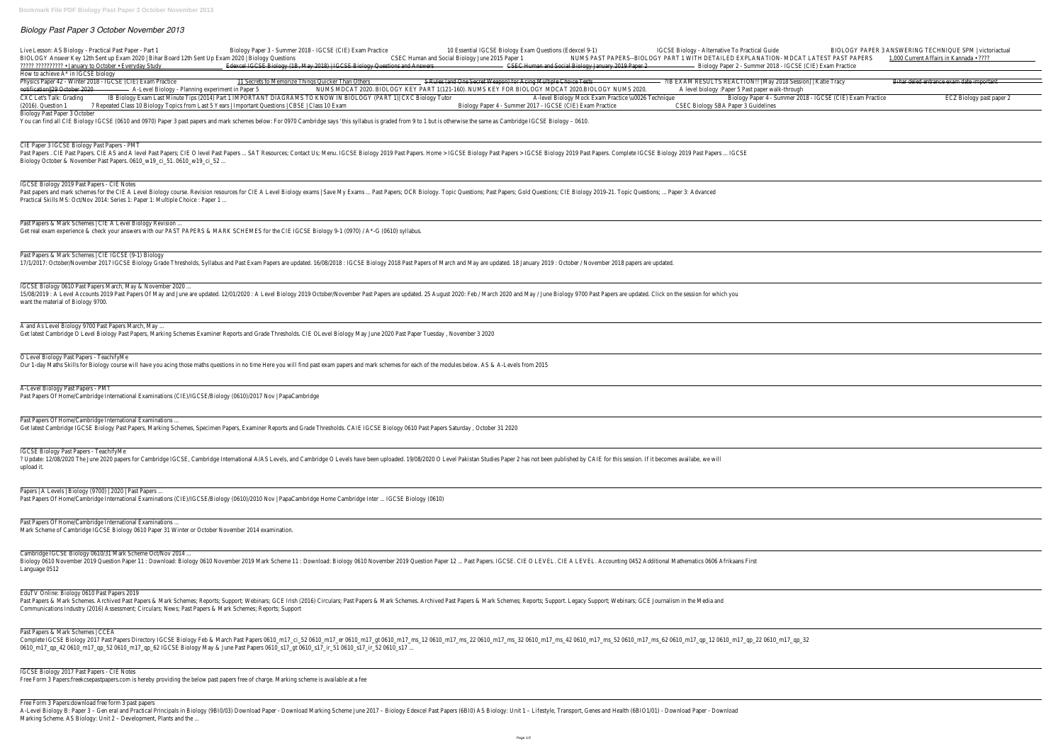# *Biology Past Paper 3 October November 2013*



Free Form 3 Papers:download free form 3 past papers

A-Level Biology B: Paper 3 - Gen eral and Practical Principals in Biology (9BIO/O3) Download Paper - Download Marking Scheme June 2017 - Biology Edexcel Past Papers (6BIO) AS Biology: Unit 1 - Lifestyle, Transport, Genes a Marking Scheme. AS Biology: Unit 2 - Development, Plants and the ...

| 5 Rules (and One Secret Weapon) for Acing Multiple Choice Tests<br>?IB EXAM RESULTS REACTION!! [May 2018 Session]   Katie Tracy<br>Bihar deled entrance exam date important<br>RT 1(121-160). NUMS KEY FOR BIOLOGY MDCAT 2020.BIOLOGY NUMS 2020.<br>A level biology : Paper 5 Past paper walk-through<br>A-level Biology Mock Exam Practice \u0026 Technique<br>Biology Paper 4 - Summer 2018 - IGCSE (CIE) Exam Practice<br>Biology Paper 4 - Summer 2017 - IGCSE (CIE) Exam Practice<br><b>CSEC Biology SBA Paper 3 Guidelines</b><br>t is otherwise the same as Cambridge IGCSE Biology - 0610.<br>IGCSE Biology Past Papers > IGCSE Biology 2019 Past Papers. Complete IGCSE Biology 2019 Past Papers  IGCSE<br>ppic Questions; Past Papers; Gold Questions; CIE Biology 2019-21. Topic Questions;  Paper 3: Advanced<br>f March and May are updated. 18 January 2019: October / November 2018 papers are updated.<br>25 August 2020: Feb / March 2020 and May / June Biology 9700 Past Papers are updated. Click on the session for which you<br>y, November 3 2020<br>the modules below. AS & A-Levels from 2015<br>Saturday, October 31 2020<br>O Level Pakistan Studies Paper 2 has not been published by CAIE for this session. If it becomes availabe, we will<br>per 12  Past Papers. IGCSE. CIE O LEVEL. CIE A LEVEL. Accounting 0452 Additional Mathematics 0606 Afrikaans First<br>d Past Papers & Mark Schemes; Reports; Support. Legacy Support; Webinars; GCE Journalism in the Media and | 10 Essential IGCSE Biology Exam Questions (Edexcel 9-1)<br>Human and Social Biology June 2015 Paper 1<br>CSEC Human and Social Biology January 2019 Paper 2 | IGCSE Biology - Alternative To Practical Guide<br>NUMS PAST PAPERS--BIOLOGY PART 1 WITH DETAILED EXPLANATION- MDCAT LATEST PAST PAPERS<br>- Biology Paper 2 - Summer 2018 - IGCSE (CIE) Exam Practice | BIOLOGY PAPER 3 ANSWERING TECHNIQUE SPM   victoriactual<br>1,000 Current Affairs in Kannada · ???? |
|------------------------------------------------------------------------------------------------------------------------------------------------------------------------------------------------------------------------------------------------------------------------------------------------------------------------------------------------------------------------------------------------------------------------------------------------------------------------------------------------------------------------------------------------------------------------------------------------------------------------------------------------------------------------------------------------------------------------------------------------------------------------------------------------------------------------------------------------------------------------------------------------------------------------------------------------------------------------------------------------------------------------------------------------------------------------------------------------------------------------------------------------------------------------------------------------------------------------------------------------------------------------------------------------------------------------------------------------------------------------------------------------------------------------------------------------------------------------------------------------------------|-------------------------------------------------------------------------------------------------------------------------------------------------------------|-------------------------------------------------------------------------------------------------------------------------------------------------------------------------------------------------------|----------------------------------------------------------------------------------------------------|
|                                                                                                                                                                                                                                                                                                                                                                                                                                                                                                                                                                                                                                                                                                                                                                                                                                                                                                                                                                                                                                                                                                                                                                                                                                                                                                                                                                                                                                                                                                            |                                                                                                                                                             |                                                                                                                                                                                                       |                                                                                                    |
|                                                                                                                                                                                                                                                                                                                                                                                                                                                                                                                                                                                                                                                                                                                                                                                                                                                                                                                                                                                                                                                                                                                                                                                                                                                                                                                                                                                                                                                                                                            |                                                                                                                                                             |                                                                                                                                                                                                       | ECZ Biology past paper 2                                                                           |
|                                                                                                                                                                                                                                                                                                                                                                                                                                                                                                                                                                                                                                                                                                                                                                                                                                                                                                                                                                                                                                                                                                                                                                                                                                                                                                                                                                                                                                                                                                            |                                                                                                                                                             |                                                                                                                                                                                                       |                                                                                                    |
|                                                                                                                                                                                                                                                                                                                                                                                                                                                                                                                                                                                                                                                                                                                                                                                                                                                                                                                                                                                                                                                                                                                                                                                                                                                                                                                                                                                                                                                                                                            |                                                                                                                                                             |                                                                                                                                                                                                       |                                                                                                    |
|                                                                                                                                                                                                                                                                                                                                                                                                                                                                                                                                                                                                                                                                                                                                                                                                                                                                                                                                                                                                                                                                                                                                                                                                                                                                                                                                                                                                                                                                                                            |                                                                                                                                                             |                                                                                                                                                                                                       |                                                                                                    |
|                                                                                                                                                                                                                                                                                                                                                                                                                                                                                                                                                                                                                                                                                                                                                                                                                                                                                                                                                                                                                                                                                                                                                                                                                                                                                                                                                                                                                                                                                                            |                                                                                                                                                             |                                                                                                                                                                                                       |                                                                                                    |
|                                                                                                                                                                                                                                                                                                                                                                                                                                                                                                                                                                                                                                                                                                                                                                                                                                                                                                                                                                                                                                                                                                                                                                                                                                                                                                                                                                                                                                                                                                            |                                                                                                                                                             |                                                                                                                                                                                                       |                                                                                                    |
|                                                                                                                                                                                                                                                                                                                                                                                                                                                                                                                                                                                                                                                                                                                                                                                                                                                                                                                                                                                                                                                                                                                                                                                                                                                                                                                                                                                                                                                                                                            |                                                                                                                                                             |                                                                                                                                                                                                       |                                                                                                    |
|                                                                                                                                                                                                                                                                                                                                                                                                                                                                                                                                                                                                                                                                                                                                                                                                                                                                                                                                                                                                                                                                                                                                                                                                                                                                                                                                                                                                                                                                                                            |                                                                                                                                                             |                                                                                                                                                                                                       |                                                                                                    |
|                                                                                                                                                                                                                                                                                                                                                                                                                                                                                                                                                                                                                                                                                                                                                                                                                                                                                                                                                                                                                                                                                                                                                                                                                                                                                                                                                                                                                                                                                                            |                                                                                                                                                             |                                                                                                                                                                                                       |                                                                                                    |
|                                                                                                                                                                                                                                                                                                                                                                                                                                                                                                                                                                                                                                                                                                                                                                                                                                                                                                                                                                                                                                                                                                                                                                                                                                                                                                                                                                                                                                                                                                            |                                                                                                                                                             |                                                                                                                                                                                                       |                                                                                                    |
|                                                                                                                                                                                                                                                                                                                                                                                                                                                                                                                                                                                                                                                                                                                                                                                                                                                                                                                                                                                                                                                                                                                                                                                                                                                                                                                                                                                                                                                                                                            |                                                                                                                                                             |                                                                                                                                                                                                       |                                                                                                    |
|                                                                                                                                                                                                                                                                                                                                                                                                                                                                                                                                                                                                                                                                                                                                                                                                                                                                                                                                                                                                                                                                                                                                                                                                                                                                                                                                                                                                                                                                                                            |                                                                                                                                                             |                                                                                                                                                                                                       |                                                                                                    |
|                                                                                                                                                                                                                                                                                                                                                                                                                                                                                                                                                                                                                                                                                                                                                                                                                                                                                                                                                                                                                                                                                                                                                                                                                                                                                                                                                                                                                                                                                                            |                                                                                                                                                             |                                                                                                                                                                                                       |                                                                                                    |
|                                                                                                                                                                                                                                                                                                                                                                                                                                                                                                                                                                                                                                                                                                                                                                                                                                                                                                                                                                                                                                                                                                                                                                                                                                                                                                                                                                                                                                                                                                            |                                                                                                                                                             |                                                                                                                                                                                                       |                                                                                                    |
|                                                                                                                                                                                                                                                                                                                                                                                                                                                                                                                                                                                                                                                                                                                                                                                                                                                                                                                                                                                                                                                                                                                                                                                                                                                                                                                                                                                                                                                                                                            |                                                                                                                                                             |                                                                                                                                                                                                       |                                                                                                    |
|                                                                                                                                                                                                                                                                                                                                                                                                                                                                                                                                                                                                                                                                                                                                                                                                                                                                                                                                                                                                                                                                                                                                                                                                                                                                                                                                                                                                                                                                                                            |                                                                                                                                                             |                                                                                                                                                                                                       |                                                                                                    |
| 0_m17_ms_22 0610_m17_ms_32 0610_m17_ms_42 0610_m17_ms_52 0610_m17_ms_62 0610_m17_qp_12 0610_m17_qp_22 0610_m17_qp_32                                                                                                                                                                                                                                                                                                                                                                                                                                                                                                                                                                                                                                                                                                                                                                                                                                                                                                                                                                                                                                                                                                                                                                                                                                                                                                                                                                                       |                                                                                                                                                             |                                                                                                                                                                                                       |                                                                                                    |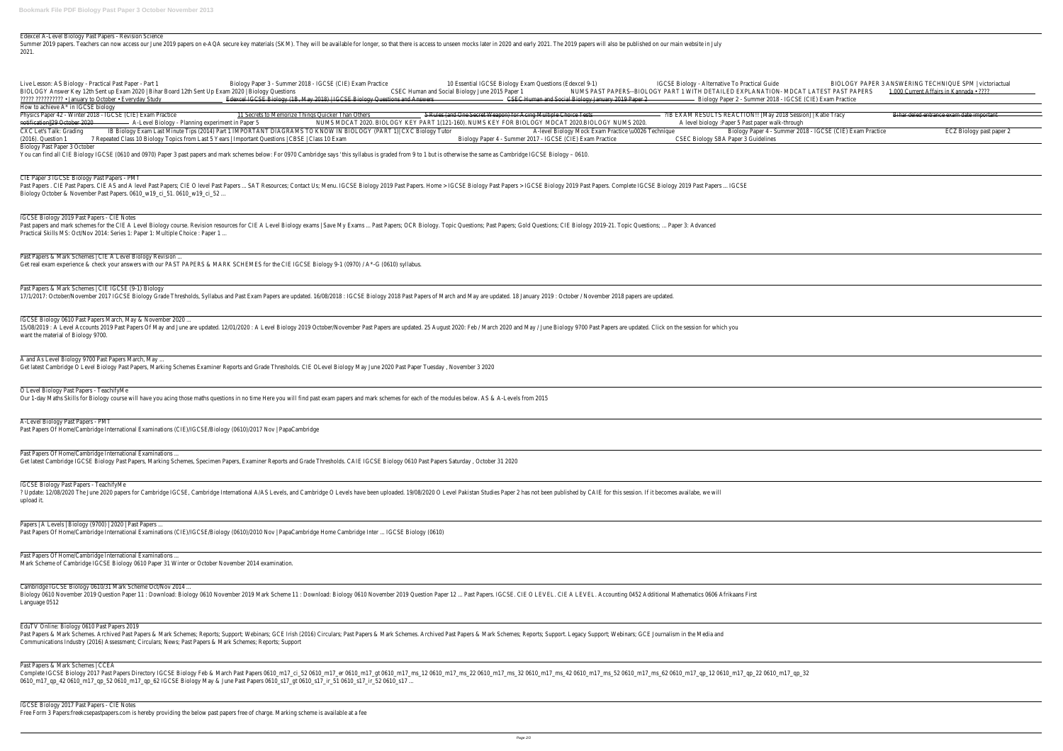## Edexcel A-Level Biology Past Papers - Revision Science

Summer 2019 papers. Teachers can now access our June 2019 papers on e-AQA secure key materials (SKM). They will be available for longer, so that there is access to unseen mocks later in 2020 and early 2021. The 2019 papers 2021.

| Live Lesson: AS Biology - Practical Past Paper - Part 1<br>BIOLOGY Answer Key 12th Sent up Exam 2020   Bihar Board 12th Sent Up Exam 2020   Biology Questions<br><b>22222 2222222222 · January to October · Everyday Study</b> | Biology Paper 3 - Summer 2018 - IGCSE (CIE) Exam Practice<br>Edexcel IGCSE Biology (1B, May 2018)   IGCSE Biology Questions and Answe                                                                                                                                                                         | <b>CSEC</b> |
|--------------------------------------------------------------------------------------------------------------------------------------------------------------------------------------------------------------------------------|---------------------------------------------------------------------------------------------------------------------------------------------------------------------------------------------------------------------------------------------------------------------------------------------------------------|-------------|
| How to achieve $A^*$ in IGCSE biology                                                                                                                                                                                          |                                                                                                                                                                                                                                                                                                               |             |
|                                                                                                                                                                                                                                |                                                                                                                                                                                                                                                                                                               |             |
| Physics Paper 42 - Winter 2018 - IGCSE (CIE) Exam Practice<br>notification  29 October 2020 - A-Level Biology - Planning experiment in Paper 5<br>CXC Let's Talk: Grading<br>(2016). Question 1                                | 11 Secrets to Memorize Things Quicker Than Others<br>NUMS MDCAT 2020. BIOLOGY KEY PA<br>IB Biology Exam Last Minute Tips (2014) Part 1 IMPORTANT DIAGRAMS TO KNOW IN BIOLOGY (PART 1)  CXC Biology Tutor<br>7 Repeated Class 10 Biology Topics from Last 5 Years   Important Questions   CBSE   Class 10 Exam |             |
| Biology Past Paper 3 October                                                                                                                                                                                                   | You can find all CIE Biology IGCSE (0610 and 0970) Paper 3 past papers and mark schemes below: For 0970 Cambridge says 'this syllabus is graded from 9 to 1 bu                                                                                                                                                |             |
|                                                                                                                                                                                                                                |                                                                                                                                                                                                                                                                                                               |             |
| CIE Paper 3 IGCSE Biology Past Papers - PMT<br>Biology October & November Past Papers. 0610_w19_ci_51. 0610_w19_ci_52                                                                                                          | Past Papers. CIE Past Papers. CIE AS and A level Past Papers; CIE O level Past Papers  SAT Resources; Contact Us; Menu. IGCSE Biology 2019 Past Papers. Home >                                                                                                                                                |             |
| IGCSE Biology 2019 Past Papers - CIE Notes                                                                                                                                                                                     | Past papers and mark schemes for the CIE A Level Biology course. Revision resources for CIE A Level Biology exams   Save My Exams  Past Papers; OCR Biology. To                                                                                                                                               |             |
| Practical Skills MS: Oct/Nov 2014: Series 1: Paper 1: Multiple Choice : Paper 1                                                                                                                                                |                                                                                                                                                                                                                                                                                                               |             |
| Past Papers & Mark Schemes   CIE A Level Biology Revision                                                                                                                                                                      | Get real exam experience & check your answers with our PAST PAPERS & MARK SCHEMES for the CIE IGCSE Biology 9-1 (0970) / A*-G (0610) syllabus.                                                                                                                                                                |             |
|                                                                                                                                                                                                                                |                                                                                                                                                                                                                                                                                                               |             |
| Past Papers & Mark Schemes   CIE IGCSE (9-1) Biology                                                                                                                                                                           | 17/1/2017: October/November 2017 IGCSE Biology Grade Thresholds, Syllabus and Past Exam Papers are updated. 16/08/2018: IGCSE Biology 2018 Past Papers o                                                                                                                                                      |             |
| IGCSE Biology 0610 Past Papers March, May & November 2020                                                                                                                                                                      |                                                                                                                                                                                                                                                                                                               |             |
| want the material of Biology 9700.                                                                                                                                                                                             | 15/08/2019: A Level Accounts 2019 Past Papers Of May and June are updated. 12/01/2020: A Level Biology 2019 October/November Past Papers are updated. 2                                                                                                                                                       |             |
| A and As Level Biology 9700 Past Papers March, May                                                                                                                                                                             |                                                                                                                                                                                                                                                                                                               |             |
|                                                                                                                                                                                                                                | Get latest Cambridge O Level Biology Past Papers, Marking Schemes Examiner Reports and Grade Thresholds. CIE OLevel Biology May June 2020 Past Paper Tuesda                                                                                                                                                   |             |
| O Level Biology Past Papers - TeachifyMe                                                                                                                                                                                       | Our 1-day Maths Skills for Biology course will have you acing those maths questions in no time Here you will find past exam papers and mark schemes for each of                                                                                                                                               |             |
| A-Level Biology Past Papers - PMT<br>Past Papers Of Home/Cambridge International Examinations (CIE)/IGCSE/Biology (0610)/2017 Nov   PapaCambridge                                                                              |                                                                                                                                                                                                                                                                                                               |             |
| Past Papers Of Home/Cambridge International Examinations                                                                                                                                                                       | Get latest Cambridge IGCSE Biology Past Papers, Marking Schemes, Specimen Papers, Examiner Reports and Grade Thresholds. CAIE IGCSE Biology 0610 Past Papers                                                                                                                                                  |             |
| <b>IGCSE Biology Past Papers - TeachifyMe</b><br>upload it.                                                                                                                                                                    | ? Update: 12/08/2020 The June 2020 papers for Cambridge IGCSE, Cambridge International A/AS Levels, and Cambridge O Levels have been uploaded. 19/08/2020                                                                                                                                                     |             |
| Papers   A Levels   Biology (9700)   2020   Past Papers                                                                                                                                                                        | Past Papers Of Home/Cambridge International Examinations (CIE)/IGCSE/Biology (0610)/2010 Nov   PapaCambridge Home Cambridge Inter  IGCSE Biology (0610)                                                                                                                                                       |             |
| Past Papers Of Home/Cambridge International Examinations                                                                                                                                                                       |                                                                                                                                                                                                                                                                                                               |             |
| Mark Scheme of Cambridge IGCSE Biology 0610 Paper 31 Winter or October November 2014 examination.                                                                                                                              |                                                                                                                                                                                                                                                                                                               |             |
| Cambridge IGCSE Biology 0610/31 Mark Scheme Oct/Nov 2014<br>Language 0512                                                                                                                                                      | Biology 0610 November 2019 Question Paper 11: Download: Biology 0610 November 2019 Mark Scheme 11: Download: Biology 0610 November 2019 Question Pa                                                                                                                                                           |             |
| EduTV Online: Biology 0610 Past Papers 2019<br>Communications Industry (2016) Assessment; Circulars; News; Past Papers & Mark Schemes; Reports; Support                                                                        | Past Papers & Mark Schemes. Archived Past Papers & Mark Schemes; Reports; Support; Webinars; GCE Irish (2016) Circulars; Past Papers & Mark Schemes. Archive                                                                                                                                                  |             |
| Past Papers & Mark Schemes   CCEA                                                                                                                                                                                              | Complete IGCSE Biology 2017 Past Papers Directory IGCSE Biology Feb & March Past Papers 0610_m17_ci_52 0610_m17_er 0610_m17_qt 0610_m17_ms_12 061                                                                                                                                                             |             |

0610\_m17\_qp\_42 0610\_m17\_qp\_52 0610\_m17\_qp\_62 IGCSE Biology May & June Past Papers 0610\_s17\_gt 0610\_s17\_ir\_51 0610\_s17\_ir\_52 0610\_s17 ...

### IGCSE Biology 2017 Past Papers - CIE Notes

Free Form 3 Papers:freekcsepastpapers.com is hereby providing the below past papers free of charge. Marking scheme is available at a fee

10 Essential IGCSE Biology Exam Questions (Edexcel 9-1)<br>Il Biology June 2015 Paper 1 MUMS PAST PAPERS--BIOLOGY PART 1 WITH DETAILED EXPLANATION- MDCAT LATEST PAST PAPERS Human and Social Biology June 2015 Paper 1 The State of NUMS PAST PAPERS--BIOLOGY PART 1 WITH DETAILED EXPLANATION- MDCAT LATEST PAST PAPERS GSEC Human and Social Biology January 2019 Paper 2 Channel Communication Biology Paper 2 - Summer 2018 - IGCSE (CIE) Exam Practice 5 Rules (and One Secret Weapon) for Acing Multiple Choice Tests 2018 EXAM RESULTS REACTION!! [May 2018 Session] | Katie Tracy Bihar deled entrance exam date important notification Planning 2020. A level biology : Paper 5 Past paper walk-through (121-160). NUMS KEY FOR BIOLOGY MDCAT 2020.<br>A-level Biology Mock Exam Practice \u0026 Technique Biology : Paper 4 - Summer 20 Biology Paper 4 - Summer 2018 - IGCSE (CIE) Exam Practice ECZ Biology past paper 2<br>CSEC Biology SBA Paper 3 Guidelines Biology Paper 4 - Summer 2017 - IGCSE (CIE) Exam Practice but is otherwise the same as Cambridge IGCSE Biology - 0610. > IGCSE Biology Past Papers > IGCSE Biology 2019 Past Papers. Complete IGCSE Biology 2019 Past Papers ... IGCSE Topic Questions; Past Papers; Gold Questions; CIE Biology 2019-21. Topic Questions; ... Paper 3: Advanced of March and May are updated. 18 January 2019 : October / November 2018 papers are updated. 25 August 2020: Feb / March 2020 and May / June Biology 9700 Past Papers are updated. Click on the session for which you day , November 3 2020 the modules below. AS & A-Levels from 2015 rs Saturday , October 31 2020 0 O Level Pakistan Studies Paper 2 has not been published by CAIE for this session. If it becomes availabe, we will aper 12 ... Past Papers. IGCSE. CIE O LEVEL. CIE A LEVEL. Accounting 0452 Additional Mathematics 0606 Afrikaans First

ed Past Papers & Mark Schemes; Reports; Support. Legacy Support; Webinars; GCE Journalism in the Media and

10\_m17\_ms\_22 0610\_m17\_ms\_32 0610\_m17\_ms\_42 0610\_m17\_ms\_52 0610\_m17\_ms\_62 0610\_m17\_qp\_12 0610\_m17\_qp\_22 0610\_m17\_qp\_32